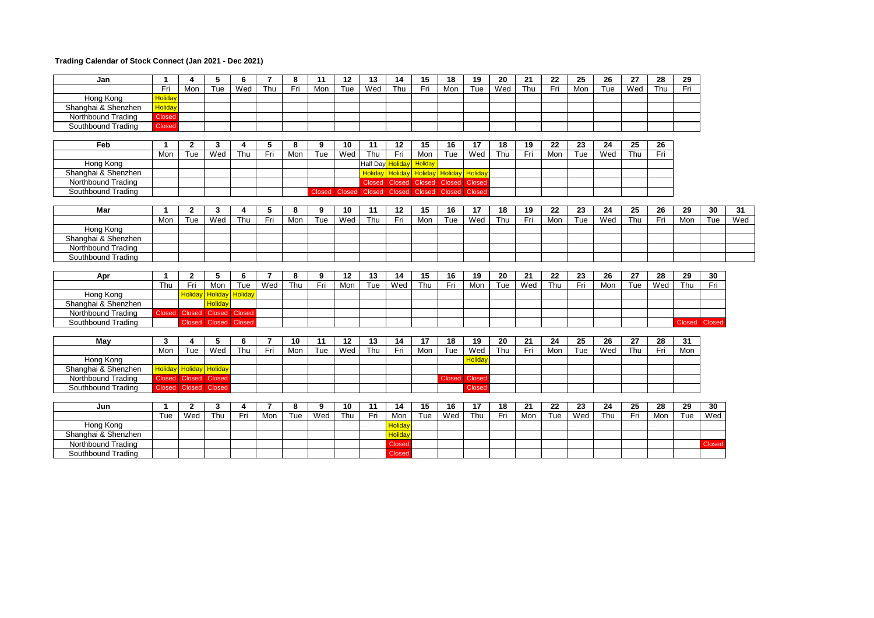## **Trading Calendar of Stock Connect (Jan 2021 - Dec 2021)**

| Jan                 | $\mathbf{1}$           | 4              | 5              | 6              | $\overline{7}$ | 8   | 11            | 12            | 13            | 14                              | 15            | 18     | 19            | 20  | 21  | 22  | 25  | 26  | 27  | 28  | 29            |        |     |
|---------------------|------------------------|----------------|----------------|----------------|----------------|-----|---------------|---------------|---------------|---------------------------------|---------------|--------|---------------|-----|-----|-----|-----|-----|-----|-----|---------------|--------|-----|
|                     | Fri                    | Mon            | Tue            | Wed            | Thu            | Fri | Mon           | Tue           | Wed           | Thu                             | Fri           | Mon    | Tue           | Wed | Thu | Fri | Mon | Tue | Wed | Thu | Fri           |        |     |
| Hong Kong           | <b>Holiday</b>         |                |                |                |                |     |               |               |               |                                 |               |        |               |     |     |     |     |     |     |     |               |        |     |
| Shanghai & Shenzhen | Holiday                |                |                |                |                |     |               |               |               |                                 |               |        |               |     |     |     |     |     |     |     |               |        |     |
| Northbound Trading  | Closed                 |                |                |                |                |     |               |               |               |                                 |               |        |               |     |     |     |     |     |     |     |               |        |     |
| Southbound Trading  | <b>Closed</b>          |                |                |                |                |     |               |               |               |                                 |               |        |               |     |     |     |     |     |     |     |               |        |     |
|                     |                        |                |                |                |                |     |               |               |               |                                 |               |        |               |     |     |     |     |     |     |     |               |        |     |
| Feb                 | $\mathbf 1$            | $\mathbf{2}$   | 3              | 4              | 5              | 8   | 9             | 10            | 11            | 12                              | 15            | 16     | 17            | 18  | 19  | 22  | 23  | 24  | 25  | 26  |               |        |     |
|                     | Mon                    | Tue            | Wed            | Thu            | Fri            | Mon | Tue           | Wed           | Thu           | Fri                             | Mon           | Tue    | Wed           | Thu | Fri | Mon | Tue | Wed | Thu | Fri |               |        |     |
| Hong Kong           |                        |                |                |                |                |     |               |               | Half Day      | <b>Holiday</b>                  | Holiday       |        |               |     |     |     |     |     |     |     |               |        |     |
| Shanghai & Shenzhen |                        |                |                |                |                |     |               |               |               | Holiday Holiday Holiday Holiday |               |        | Holiday       |     |     |     |     |     |     |     |               |        |     |
| Northbound Trading  |                        |                |                |                |                |     |               |               | <b>Closed</b> |                                 | Closed Closed | Closed | Closed        |     |     |     |     |     |     |     |               |        |     |
| Southbound Trading  |                        |                |                |                |                |     | <b>Closed</b> | <b>Closed</b> | Closed        |                                 | Closed Closed | Closed | Closed        |     |     |     |     |     |     |     |               |        |     |
|                     |                        |                |                |                |                |     |               |               |               |                                 |               |        |               |     |     |     |     |     |     |     |               |        |     |
| Mar                 | -1                     | $\overline{2}$ | 3              | 4              | 5              | 8   | 9             | 10            | 11            | 12                              | 15            | 16     | 17            | 18  | 19  | 22  | 23  | 24  | 25  | 26  | 29            | 30     | 31  |
|                     | Mon                    | Tue            | Wed            | Thu            | Fri            | Mon | Tue           | Wed           | Thu           | Fri                             | Mon           | Tue    | Wed           | Thu | Fri | Mon | Tue | Wed | Thu | Fri | Mon           | Tue    | Wed |
| Hong Kong           |                        |                |                |                |                |     |               |               |               |                                 |               |        |               |     |     |     |     |     |     |     |               |        |     |
| Shanghai & Shenzhen |                        |                |                |                |                |     |               |               |               |                                 |               |        |               |     |     |     |     |     |     |     |               |        |     |
| Northbound Trading  |                        |                |                |                |                |     |               |               |               |                                 |               |        |               |     |     |     |     |     |     |     |               |        |     |
| Southbound Trading  |                        |                |                |                |                |     |               |               |               |                                 |               |        |               |     |     |     |     |     |     |     |               |        |     |
|                     |                        |                |                |                |                |     |               |               |               |                                 |               |        |               |     |     |     |     |     |     |     |               |        |     |
| Apr                 | $\mathbf{1}$           | $\overline{2}$ | 5              | 6              | $\overline{7}$ | 8   | 9             | 12            | 13            | 14                              | 15            | 16     | 19            | 20  | 21  | 22  | 23  | 26  | 27  | 28  | 29            | 30     |     |
|                     | Thu                    | Fri            | Mon            | Tue            | Wed            | Thu | Fri           | Mon           | Tue           | Wed                             | Thu           | Fri    | Mon           | Tue | Wed | Thu | Fri | Mon | Tue | Wed | Thu           | Fri    |     |
| Hong Kong           |                        | <b>Holiday</b> | <b>Holiday</b> | <b>Holiday</b> |                |     |               |               |               |                                 |               |        |               |     |     |     |     |     |     |     |               |        |     |
| Shanghai & Shenzhen |                        |                | <b>Holiday</b> |                |                |     |               |               |               |                                 |               |        |               |     |     |     |     |     |     |     |               |        |     |
| Northbound Trading  | Closed Closed          |                |                | Closed Closed  |                |     |               |               |               |                                 |               |        |               |     |     |     |     |     |     |     |               |        |     |
| Southbound Trading  |                        | <b>Closed</b>  | Closed Closed  |                |                |     |               |               |               |                                 |               |        |               |     |     |     |     |     |     |     | Closed Closed |        |     |
|                     |                        |                |                |                |                |     |               |               |               |                                 |               |        |               |     |     |     |     |     |     |     |               |        |     |
| May                 | 3                      | 4              | 5              | 6              | 7              | 10  | 11            | 12            | 13            | 14                              | 17            | 18     | 19            | 20  | 21  | 24  | 25  | 26  | 27  | 28  | 31            |        |     |
|                     | Mon                    | Tue            | Wed            | Thu            | Fri            | Mon | Tue           | Wed           | Thu           | Fri                             | Mon           | Tue    | Wed           | Thu | Fri | Mon | Tue | Wed | Thu | Fri | Mon           |        |     |
| Hong Kong           |                        |                |                |                |                |     |               |               |               |                                 |               |        | Holiday       |     |     |     |     |     |     |     |               |        |     |
| Shanghai & Shenzhen | <b>Holiday</b> Holiday |                | Holiday        |                |                |     |               |               |               |                                 |               |        |               |     |     |     |     |     |     |     |               |        |     |
| Northbound Trading  |                        | Closed Closed  | <b>Closed</b>  |                |                |     |               |               |               |                                 |               |        | Closed Closed |     |     |     |     |     |     |     |               |        |     |
| Southbound Trading  |                        |                |                |                |                |     |               |               |               |                                 |               |        |               |     |     |     |     |     |     |     |               |        |     |
|                     | Closed Closed          |                | Closed         |                |                |     |               |               |               |                                 |               |        | Closed        |     |     |     |     |     |     |     |               |        |     |
|                     |                        |                |                |                |                |     |               |               |               |                                 |               |        |               |     |     |     |     |     |     |     |               |        |     |
| Jun                 | -1                     | $\overline{2}$ | 3              | 4              | 7              | 8   | 9             | 10            | 11            | 14                              | 15            | 16     | 17            | 18  | 21  | 22  | 23  | 24  | 25  | 28  | 29            | 30     |     |
|                     | Tue                    | Wed            | Thu            | Fri            | Mon            | Tue | Wed           | Thu           | Fri           | Mon                             | Tue           | Wed    | Thu           | Fri | Mon | Tue | Wed | Thu | Fri | Mon | Tue           | Wed    |     |
| Hong Kong           |                        |                |                |                |                |     |               |               |               | Holiday                         |               |        |               |     |     |     |     |     |     |     |               |        |     |
| Shanghai & Shenzhen |                        |                |                |                |                |     |               |               |               | Holiday                         |               |        |               |     |     |     |     |     |     |     |               |        |     |
| Northbound Trading  |                        |                |                |                |                |     |               |               |               | <b>Closed</b>                   |               |        |               |     |     |     |     |     |     |     |               | Closed |     |